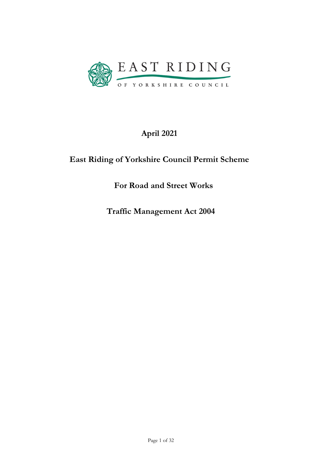

# April 2021

# East Riding of Yorkshire Council Permit Scheme

For Road and Street Works

Traffic Management Act 2004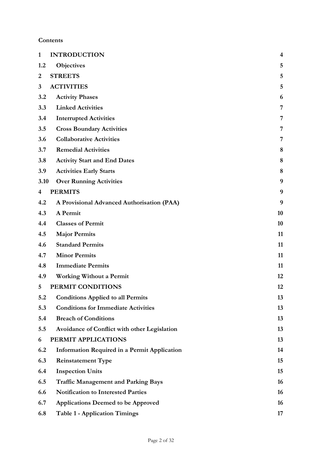# **Contents**

| $\mathbf{1}$   | <b>INTRODUCTION</b>                                 | $\overline{\mathbf{4}}$ |
|----------------|-----------------------------------------------------|-------------------------|
| 1.2            | <b>Objectives</b>                                   | 5                       |
| $\overline{c}$ | <b>STREETS</b>                                      | 5                       |
| 3              | <b>ACTIVITIES</b>                                   | 5                       |
| 3.2            | <b>Activity Phases</b>                              | 6                       |
| 3.3            | <b>Linked Activities</b>                            | 7                       |
| 3.4            | <b>Interrupted Activities</b>                       | 7                       |
| 3.5            | <b>Cross Boundary Activities</b>                    | 7                       |
| 3.6            | <b>Collaborative Activities</b>                     | 7                       |
| 3.7            | <b>Remedial Activities</b>                          | 8                       |
| 3.8            | <b>Activity Start and End Dates</b>                 | 8                       |
| 3.9            | <b>Activities Early Starts</b>                      | 8                       |
| 3.10           | <b>Over Running Activities</b>                      | 9                       |
| 4              | <b>PERMITS</b>                                      | 9                       |
| 4.2            | A Provisional Advanced Authorisation (PAA)          | 9                       |
| 4.3            | A Permit                                            | 10                      |
| 4.4            | <b>Classes of Permit</b>                            | 10                      |
| 4.5            | <b>Major Permits</b>                                | 11                      |
| 4.6            | <b>Standard Permits</b>                             | 11                      |
| 4.7            | <b>Minor Permits</b>                                | 11                      |
| 4.8            | <b>Immediate Permits</b>                            | 11                      |
| 4.9            | <b>Working Without a Permit</b>                     | 12                      |
| 5              | PERMIT CONDITIONS                                   | 12                      |
| 5.2            | <b>Conditions Applied to all Permits</b>            | 13                      |
| 5.3            | <b>Conditions for Immediate Activities</b>          | 13                      |
| 5.4            | <b>Breach of Conditions</b>                         | 13                      |
| 5.5            | Avoidance of Conflict with other Legislation        | 13                      |
| 6              | PERMIT APPLICATIONS                                 | 13                      |
| 6.2            | <b>Information Required in a Permit Application</b> | 14                      |
| 6.3            | <b>Reinstatement Type</b>                           | 15                      |
| 6.4            | <b>Inspection Units</b>                             | 15                      |
| 6.5            | <b>Traffic Management and Parking Bays</b>          | 16                      |
| 6.6            | <b>Notification to Interested Parties</b>           | 16                      |
| 6.7            | <b>Applications Deemed to be Approved</b>           | 16                      |
| 6.8            | <b>Table 1 - Application Timings</b>                | 17                      |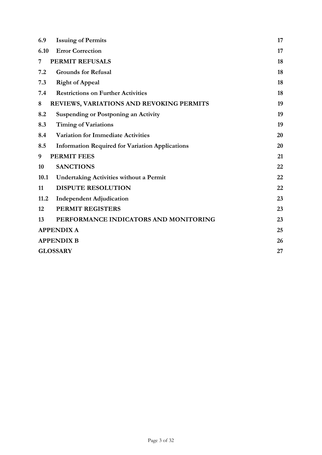| 6.9  | <b>Issuing of Permits</b>                              | 17 |
|------|--------------------------------------------------------|----|
| 6.10 | <b>Error Correction</b>                                | 17 |
| 7    | PERMIT REFUSALS                                        | 18 |
| 7.2  | <b>Grounds for Refusal</b>                             | 18 |
| 7.3  | <b>Right of Appeal</b>                                 | 18 |
| 7.4  | <b>Restrictions on Further Activities</b>              | 18 |
| 8    | <b>REVIEWS, VARIATIONS AND REVOKING PERMITS</b>        | 19 |
| 8.2  | <b>Suspending or Postponing an Activity</b>            | 19 |
| 8.3  | <b>Timing of Variations</b>                            | 19 |
| 8.4  | <b>Variation for Immediate Activities</b>              | 20 |
| 8.5  | <b>Information Required for Variation Applications</b> | 20 |
| 9    | <b>PERMIT FEES</b>                                     | 21 |
| 10   | <b>SANCTIONS</b>                                       | 22 |
| 10.1 | <b>Undertaking Activities without a Permit</b>         | 22 |
| 11   | <b>DISPUTE RESOLUTION</b>                              | 22 |
| 11.2 | <b>Independent Adjudication</b>                        | 23 |
| 12   | <b>PERMIT REGISTERS</b>                                | 23 |
| 13   | PERFORMANCE INDICATORS AND MONITORING                  | 23 |
|      | <b>APPENDIX A</b>                                      | 25 |
|      | <b>APPENDIX B</b>                                      | 26 |
|      | <b>GLOSSARY</b>                                        | 27 |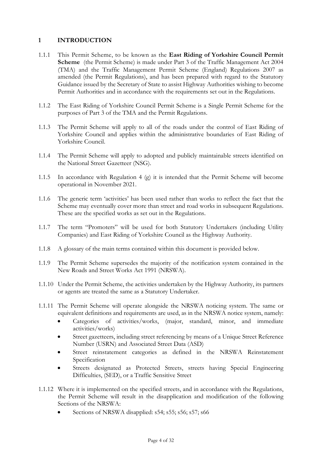## 1 INTRODUCTION

- 1.1.1 This Permit Scheme, to be known as the East Riding of Yorkshire Council Permit Scheme (the Permit Scheme) is made under Part 3 of the Traffic Management Act 2004 (TMA) and the Traffic Management Permit Scheme (England) Regulations 2007 as amended (the Permit Regulations), and has been prepared with regard to the Statutory Guidance issued by the Secretary of State to assist Highway Authorities wishing to become Permit Authorities and in accordance with the requirements set out in the Regulations.
- 1.1.2 The East Riding of Yorkshire Council Permit Scheme is a Single Permit Scheme for the purposes of Part 3 of the TMA and the Permit Regulations.
- 1.1.3 The Permit Scheme will apply to all of the roads under the control of East Riding of Yorkshire Council and applies within the administrative boundaries of East Riding of Yorkshire Council.
- 1.1.4 The Permit Scheme will apply to adopted and publicly maintainable streets identified on the National Street Gazetteer (NSG).
- 1.1.5 In accordance with Regulation 4 (g) it is intended that the Permit Scheme will become operational in November 2021.
- 1.1.6 The generic term 'activities' has been used rather than works to reflect the fact that the Scheme may eventually cover more than street and road works in subsequent Regulations. These are the specified works as set out in the Regulations.
- 1.1.7 The term "Promoters" will be used for both Statutory Undertakers (including Utility Companies) and East Riding of Yorkshire Council as the Highway Authority.
- 1.1.8 A glossary of the main terms contained within this document is provided below.
- 1.1.9 The Permit Scheme supersedes the majority of the notification system contained in the New Roads and Street Works Act 1991 (NRSWA).
- 1.1.10 Under the Permit Scheme, the activities undertaken by the Highway Authority, its partners or agents are treated the same as a Statutory Undertaker.
- 1.1.11 The Permit Scheme will operate alongside the NRSWA noticing system. The same or equivalent definitions and requirements are used, as in the NRSWA notice system, namely:
	- Categories of activities/works, (major, standard, minor, and immediate activities/works)
	- Street gazetteers, including street referencing by means of a Unique Street Reference Number (USRN) and Associated Street Data (ASD)
	- Street reinstatement categories as defined in the NRSWA Reinstatement Specification
	- Streets designated as Protected Streets, streets having Special Engineering Difficulties, (SED), or a Traffic Sensitive Street
- 1.1.12 Where it is implemented on the specified streets, and in accordance with the Regulations, the Permit Scheme will result in the disapplication and modification of the following Sections of the NRSWA:
	- Sections of NRSWA disapplied: s54; s55; s56; s57; s66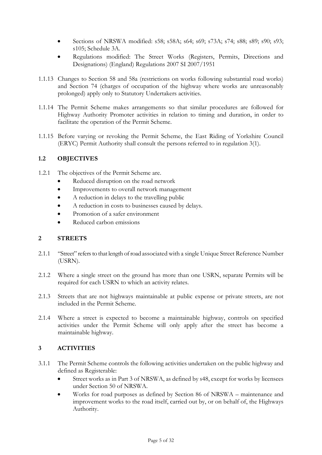- Sections of NRSWA modified: s58; s58A; s64; s69; s73A; s74; s88; s89; s90; s93; s105; Schedule 3A.
- Regulations modified: The Street Works (Registers, Permits, Directions and Designations) (England) Regulations 2007 SI 2007/1951
- 1.1.13 Changes to Section 58 and 58a (restrictions on works following substantial road works) and Section 74 (charges of occupation of the highway where works are unreasonably prolonged) apply only to Statutory Undertakers activities.
- 1.1.14 The Permit Scheme makes arrangements so that similar procedures are followed for Highway Authority Promoter activities in relation to timing and duration, in order to facilitate the operation of the Permit Scheme.
- 1.1.15 Before varying or revoking the Permit Scheme, the East Riding of Yorkshire Council (ERYC) Permit Authority shall consult the persons referred to in regulation 3(1).

## 1.2 OBJECTIVES

- 1.2.1 The objectives of the Permit Scheme are.
	- Reduced disruption on the road network
	- Improvements to overall network management
	- A reduction in delays to the travelling public
	- A reduction in costs to businesses caused by delays.
	- Promotion of a safer environment
	- Reduced carbon emissions

#### 2 STREETS

- 2.1.1 "Street" refers to that length of road associated with a single Unique Street Reference Number (USRN).
- 2.1.2 Where a single street on the ground has more than one USRN, separate Permits will be required for each USRN to which an activity relates.
- 2.1.3 Streets that are not highways maintainable at public expense or private streets, are not included in the Permit Scheme.
- 2.1.4 Where a street is expected to become a maintainable highway, controls on specified activities under the Permit Scheme will only apply after the street has become a maintainable highway.

#### 3 ACTIVITIES

- 3.1.1 The Permit Scheme controls the following activities undertaken on the public highway and defined as Registerable:
	- Street works as in Part 3 of NRSWA, as defined by s48, except for works by licensees under Section 50 of NRSWA.
	- Works for road purposes as defined by Section 86 of NRSWA maintenance and improvement works to the road itself, carried out by, or on behalf of, the Highways Authority.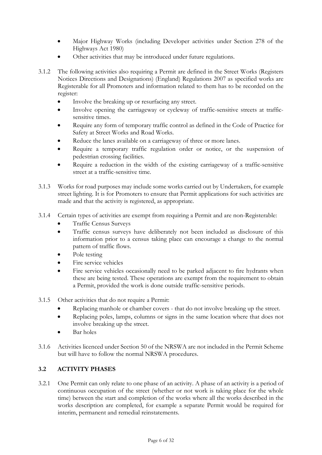- Major Highway Works (including Developer activities under Section 278 of the Highways Act 1980)
- Other activities that may be introduced under future regulations.
- 3.1.2 The following activities also requiring a Permit are defined in the Street Works (Registers Notices Directions and Designations) (England) Regulations 2007 as specified works are Registerable for all Promoters and information related to them has to be recorded on the register:
	- Involve the breaking up or resurfacing any street.
	- Involve opening the carriageway or cycleway of traffic-sensitive streets at trafficsensitive times.
	- Require any form of temporary traffic control as defined in the Code of Practice for Safety at Street Works and Road Works.
	- Reduce the lanes available on a carriageway of three or more lanes.
	- Require a temporary traffic regulation order or notice, or the suspension of pedestrian crossing facilities.
	- Require a reduction in the width of the existing carriageway of a traffic-sensitive street at a traffic-sensitive time.
- 3.1.3 Works for road purposes may include some works carried out by Undertakers, for example street lighting. It is for Promoters to ensure that Permit applications for such activities are made and that the activity is registered, as appropriate.
- 3.1.4 Certain types of activities are exempt from requiring a Permit and are non-Registerable:
	- Traffic Census Surveys
	- Traffic census surveys have deliberately not been included as disclosure of this information prior to a census taking place can encourage a change to the normal pattern of traffic flows.
	- Pole testing
	- Fire service vehicles
	- Fire service vehicles occasionally need to be parked adjacent to fire hydrants when these are being tested. These operations are exempt from the requirement to obtain a Permit, provided the work is done outside traffic-sensitive periods.
- 3.1.5 Other activities that do not require a Permit:
	- Replacing manhole or chamber covers that do not involve breaking up the street.
	- Replacing poles, lamps, columns or signs in the same location where that does not involve breaking up the street.
	- Bar holes
- 3.1.6 Activities licenced under Section 50 of the NRSWA are not included in the Permit Scheme but will have to follow the normal NRSWA procedures.

#### 3.2 ACTIVITY PHASES

3.2.1 One Permit can only relate to one phase of an activity. A phase of an activity is a period of continuous occupation of the street (whether or not work is taking place for the whole time) between the start and completion of the works where all the works described in the works description are completed, for example a separate Permit would be required for interim, permanent and remedial reinstatements.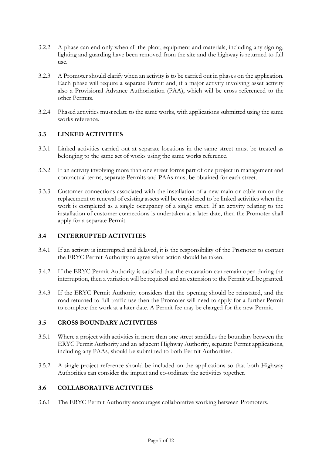- 3.2.2 A phase can end only when all the plant, equipment and materials, including any signing, lighting and guarding have been removed from the site and the highway is returned to full use.
- 3.2.3 A Promoter should clarify when an activity is to be carried out in phases on the application. Each phase will require a separate Permit and, if a major activity involving asset activity also a Provisional Advance Authorisation (PAA), which will be cross referenced to the other Permits.
- 3.2.4 Phased activities must relate to the same works, with applications submitted using the same works reference.

## 3.3 LINKED ACTIVITIES

- 3.3.1 Linked activities carried out at separate locations in the same street must be treated as belonging to the same set of works using the same works reference.
- 3.3.2 If an activity involving more than one street forms part of one project in management and contractual terms, separate Permits and PAAs must be obtained for each street.
- 3.3.3 Customer connections associated with the installation of a new main or cable run or the replacement or renewal of existing assets will be considered to be linked activities when the work is completed as a single occupancy of a single street. If an activity relating to the installation of customer connections is undertaken at a later date, then the Promoter shall apply for a separate Permit.

#### 3.4 INTERRUPTED ACTIVITIES

- 3.4.1 If an activity is interrupted and delayed, it is the responsibility of the Promoter to contact the ERYC Permit Authority to agree what action should be taken.
- 3.4.2 If the ERYC Permit Authority is satisfied that the excavation can remain open during the interruption, then a variation will be required and an extension to the Permit will be granted.
- 3.4.3 If the ERYC Permit Authority considers that the opening should be reinstated, and the road returned to full traffic use then the Promoter will need to apply for a further Permit to complete the work at a later date. A Permit fee may be charged for the new Permit.

## 3.5 CROSS BOUNDARY ACTIVITIES

- 3.5.1 Where a project with activities in more than one street straddles the boundary between the ERYC Permit Authority and an adjacent Highway Authority, separate Permit applications, including any PAAs, should be submitted to both Permit Authorities.
- 3.5.2 A single project reference should be included on the applications so that both Highway Authorities can consider the impact and co-ordinate the activities together.

#### 3.6 COLLABORATIVE ACTIVITIES

3.6.1 The ERYC Permit Authority encourages collaborative working between Promoters.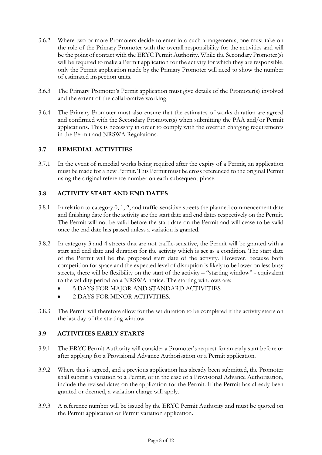- 3.6.2 Where two or more Promoters decide to enter into such arrangements, one must take on the role of the Primary Promoter with the overall responsibility for the activities and will be the point of contact with the ERYC Permit Authority. While the Secondary Promoter(s) will be required to make a Permit application for the activity for which they are responsible, only the Permit application made by the Primary Promoter will need to show the number of estimated inspection units.
- 3.6.3 The Primary Promoter's Permit application must give details of the Promoter(s) involved and the extent of the collaborative working.
- 3.6.4 The Primary Promoter must also ensure that the estimates of works duration are agreed and confirmed with the Secondary Promoter(s) when submitting the PAA and/or Permit applications. This is necessary in order to comply with the overrun charging requirements in the Permit and NRSWA Regulations.

## 3.7 REMEDIAL ACTIVITIES

3.7.1 In the event of remedial works being required after the expiry of a Permit, an application must be made for a new Permit. This Permit must be cross referenced to the original Permit using the original reference number on each subsequent phase.

## 3.8 ACTIVITY START AND END DATES

- 3.8.1 In relation to category 0, 1, 2, and traffic-sensitive streets the planned commencement date and finishing date for the activity are the start date and end dates respectively on the Permit. The Permit will not be valid before the start date on the Permit and will cease to be valid once the end date has passed unless a variation is granted.
- 3.8.2 In category 3 and 4 streets that are not traffic-sensitive, the Permit will be granted with a start and end date and duration for the activity which is set as a condition. The start date of the Permit will be the proposed start date of the activity. However, because both competition for space and the expected level of disruption is likely to be lower on less busy streets, there will be flexibility on the start of the activity – "starting window" - equivalent to the validity period on a NRSWA notice. The starting windows are:
	- $\bullet$  5 DAYS FOR MAJOR AND STANDARD ACTIVITIES
	- 2 DAYS FOR MINOR ACTIVITIES.
- 3.8.3 The Permit will therefore allow for the set duration to be completed if the activity starts on the last day of the starting window.

#### 3.9 ACTIVITIES EARLY STARTS

- 3.9.1 The ERYC Permit Authority will consider a Promoter's request for an early start before or after applying for a Provisional Advance Authorisation or a Permit application.
- 3.9.2 Where this is agreed, and a previous application has already been submitted, the Promoter shall submit a variation to a Permit, or in the case of a Provisional Advance Authorisation, include the revised dates on the application for the Permit. If the Permit has already been granted or deemed, a variation charge will apply.
- 3.9.3 A reference number will be issued by the ERYC Permit Authority and must be quoted on the Permit application or Permit variation application.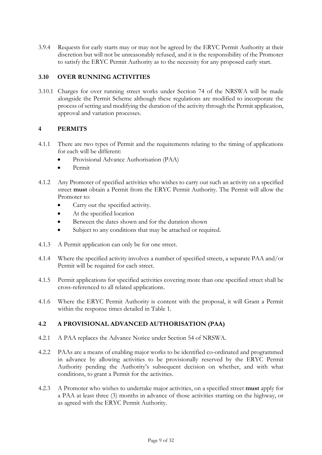3.9.4 Requests for early starts may or may not be agreed by the ERYC Permit Authority at their discretion but will not be unreasonably refused, and it is the responsibility of the Promoter to satisfy the ERYC Permit Authority as to the necessity for any proposed early start.

## 3.10 OVER RUNNING ACTIVITIES

3.10.1 Charges for over running street works under Section 74 of the NRSWA will be made alongside the Permit Scheme although these regulations are modified to incorporate the process of setting and modifying the duration of the activity through the Permit application, approval and variation processes.

## 4 PERMITS

- 4.1.1 There are two types of Permit and the requirements relating to the timing of applications for each will be different:
	- Provisional Advance Authorisation (PAA)
	- Permit
- 4.1.2 Any Promoter of specified activities who wishes to carry out such an activity on a specified street must obtain a Permit from the ERYC Permit Authority. The Permit will allow the Promoter to:
	- Carry out the specified activity.
	- At the specified location
	- Between the dates shown and for the duration shown
	- Subject to any conditions that may be attached or required.
- 4.1.3 A Permit application can only be for one street.
- 4.1.4 Where the specified activity involves a number of specified streets, a separate PAA and/or Permit will be required for each street.
- 4.1.5 Permit applications for specified activities covering more than one specified street shall be cross-referenced to all related applications.
- 4.1.6 Where the ERYC Permit Authority is content with the proposal, it will Grant a Permit within the response times detailed in Table 1.

## 4.2 A PROVISIONAL ADVANCED AUTHORISATION (PAA)

- 4.2.1 A PAA replaces the Advance Notice under Section 54 of NRSWA.
- 4.2.2 PAAs are a means of enabling major works to be identified co-ordinated and programmed in advance by allowing activities to be provisionally reserved by the ERYC Permit Authority pending the Authority's subsequent decision on whether, and with what conditions, to grant a Permit for the activities.
- 4.2.3 A Promoter who wishes to undertake major activities, on a specified street **must** apply for a PAA at least three (3) months in advance of those activities starting on the highway, or as agreed with the ERYC Permit Authority.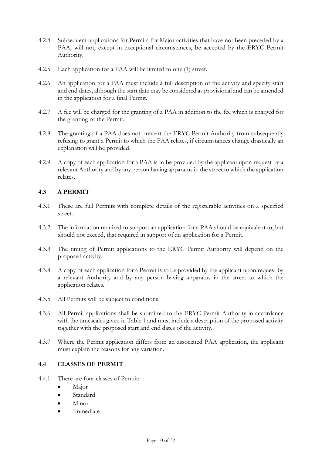- 4.2.4 Subsequent applications for Permits for Major activities that have not been preceded by a PAA, will not, except in exceptional circumstances, be accepted by the ERYC Permit Authority.
- 4.2.5 Each application for a PAA will be limited to one (1) street.
- 4.2.6 An application for a PAA must include a full description of the activity and specify start and end dates, although the start date may be considered as provisional and can be amended in the application for a final Permit.
- 4.2.7 A fee will be charged for the granting of a PAA in addition to the fee which is charged for the granting of the Permit.
- 4.2.8 The granting of a PAA does not prevent the ERYC Permit Authority from subsequently refusing to grant a Permit to which the PAA relates, if circumstances change drastically an explanation will be provided.
- 4.2.9 A copy of each application for a PAA is to be provided by the applicant upon request by a relevant Authority and by any person having apparatus in the street to which the application relates.

# 4.3 A PERMIT

- 4.3.1 These are full Permits with complete details of the registerable activities on a specified street.
- 4.3.2 The information required to support an application for a PAA should be equivalent to, but should not exceed, that required in support of an application for a Permit.
- 4.3.3 The timing of Permit applications to the ERYC Permit Authority will depend on the proposed activity.
- 4.3.4 A copy of each application for a Permit is to be provided by the applicant upon request by a relevant Authority and by any person having apparatus in the street to which the application relates.
- 4.3.5 All Permits will be subject to conditions.
- 4.3.6 All Permit applications shall be submitted to the ERYC Permit Authority in accordance with the timescales given in Table 1 and must include a description of the proposed activity together with the proposed start and end dates of the activity.
- 4.3.7 Where the Permit application differs from an associated PAA application, the applicant must explain the reasons for any variation.

## 4.4 CLASSES OF PERMIT

- 4.4.1 There are four classes of Permit:
	- Major
	- Standard
	- Minor
	- Immediate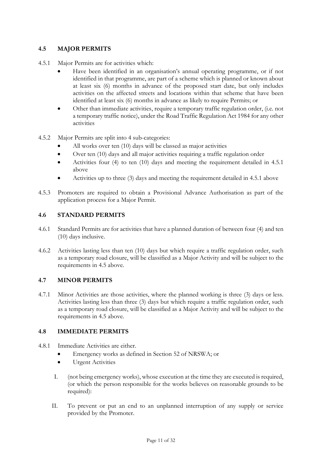# 4.5 MAJOR PERMITS

- 4.5.1 Major Permits are for activities which:
	- Have been identified in an organisation's annual operating programme, or if not identified in that programme, are part of a scheme which is planned or known about at least six (6) months in advance of the proposed start date, but only includes activities on the affected streets and locations within that scheme that have been identified at least six (6) months in advance as likely to require Permits; or
	- Other than immediate activities, require a temporary traffic regulation order, (i.e. not a temporary traffic notice), under the Road Traffic Regulation Act 1984 for any other activities
- 4.5.2 Major Permits are split into 4 sub-categories:
	- All works over ten (10) days will be classed as major activities
	- Over ten (10) days and all major activities requiring a traffic regulation order
	- Activities four (4) to ten (10) days and meeting the requirement detailed in 4.5.1 above
	- Activities up to three (3) days and meeting the requirement detailed in 4.5.1 above
- 4.5.3 Promoters are required to obtain a Provisional Advance Authorisation as part of the application process for a Major Permit.

## 4.6 STANDARD PERMITS

- 4.6.1 Standard Permits are for activities that have a planned duration of between four (4) and ten (10) days inclusive.
- 4.6.2 Activities lasting less than ten (10) days but which require a traffic regulation order, such as a temporary road closure, will be classified as a Major Activity and will be subject to the requirements in 4.5 above.

#### 4.7 MINOR PERMITS

4.7.1 Minor Activities are those activities, where the planned working is three (3) days or less. Activities lasting less than three (3) days but which require a traffic regulation order, such as a temporary road closure, will be classified as a Major Activity and will be subject to the requirements in 4.5 above.

#### 4.8 IMMEDIATE PERMITS

- 4.8.1 Immediate Activities are either.
	- Emergency works as defined in Section 52 of NRSWA; or
	- **•** Urgent Activities
	- I. (not being emergency works), whose execution at the time they are executed is required, (or which the person responsible for the works believes on reasonable grounds to be required):
	- II. To prevent or put an end to an unplanned interruption of any supply or service provided by the Promoter.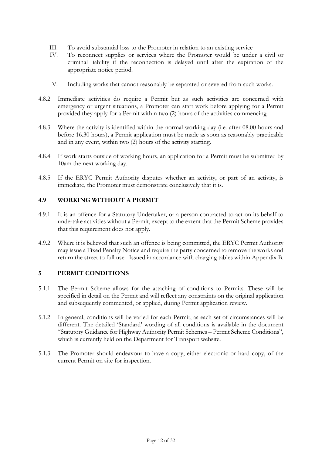- III. To avoid substantial loss to the Promoter in relation to an existing service
- IV. To reconnect supplies or services where the Promoter would be under a civil or criminal liability if the reconnection is delayed until after the expiration of the appropriate notice period.
- V. Including works that cannot reasonably be separated or severed from such works.
- 4.8.2 Immediate activities do require a Permit but as such activities are concerned with emergency or urgent situations, a Promoter can start work before applying for a Permit provided they apply for a Permit within two (2) hours of the activities commencing.
- 4.8.3 Where the activity is identified within the normal working day (i.e. after 08.00 hours and before 16.30 hours), a Permit application must be made as soon as reasonably practicable and in any event, within two (2) hours of the activity starting.
- 4.8.4 If work starts outside of working hours, an application for a Permit must be submitted by 10am the next working day.
- 4.8.5 If the ERYC Permit Authority disputes whether an activity, or part of an activity, is immediate, the Promoter must demonstrate conclusively that it is.

#### 4.9 WORKING WITHOUT A PERMIT

- 4.9.1 It is an offence for a Statutory Undertaker, or a person contracted to act on its behalf to undertake activities without a Permit, except to the extent that the Permit Scheme provides that this requirement does not apply.
- 4.9.2 Where it is believed that such an offence is being committed, the ERYC Permit Authority may issue a Fixed Penalty Notice and require the party concerned to remove the works and return the street to full use. Issued in accordance with charging tables within Appendix B.

#### 5 PERMIT CONDITIONS

- 5.1.1 The Permit Scheme allows for the attaching of conditions to Permits. These will be specified in detail on the Permit and will reflect any constraints on the original application and subsequently commented, or applied, during Permit application review.
- 5.1.2 In general, conditions will be varied for each Permit, as each set of circumstances will be different. The detailed 'Standard' wording of all conditions is available in the document "Statutory Guidance for Highway Authority Permit Schemes – Permit Scheme Conditions", which is currently held on the Department for Transport website.
- 5.1.3 The Promoter should endeavour to have a copy, either electronic or hard copy, of the current Permit on site for inspection.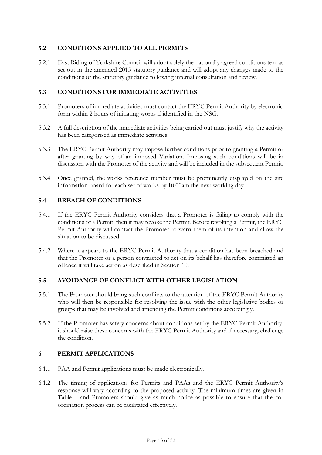## 5.2 CONDITIONS APPLIED TO ALL PERMITS

5.2.1 East Riding of Yorkshire Council will adopt solely the nationally agreed conditions text as set out in the amended 2015 statutory guidance and will adopt any changes made to the conditions of the statutory guidance following internal consultation and review.

## 5.3 CONDITIONS FOR IMMEDIATE ACTIVITIES

- 5.3.1 Promoters of immediate activities must contact the ERYC Permit Authority by electronic form within 2 hours of initiating works if identified in the NSG.
- 5.3.2 A full description of the immediate activities being carried out must justify why the activity has been categorised as immediate activities.
- 5.3.3 The ERYC Permit Authority may impose further conditions prior to granting a Permit or after granting by way of an imposed Variation. Imposing such conditions will be in discussion with the Promoter of the activity and will be included in the subsequent Permit.
- 5.3.4 Once granted, the works reference number must be prominently displayed on the site information board for each set of works by 10.00am the next working day.

## 5.4 BREACH OF CONDITIONS

- 5.4.1 If the ERYC Permit Authority considers that a Promoter is failing to comply with the conditions of a Permit, then it may revoke the Permit. Before revoking a Permit, the ERYC Permit Authority will contact the Promoter to warn them of its intention and allow the situation to be discussed.
- 5.4.2 Where it appears to the ERYC Permit Authority that a condition has been breached and that the Promoter or a person contracted to act on its behalf has therefore committed an offence it will take action as described in Section 10.

## 5.5 AVOIDANCE OF CONFLICT WITH OTHER LEGISLATION

- 5.5.1 The Promoter should bring such conflicts to the attention of the ERYC Permit Authority who will then be responsible for resolving the issue with the other legislative bodies or groups that may be involved and amending the Permit conditions accordingly.
- 5.5.2 If the Promoter has safety concerns about conditions set by the ERYC Permit Authority, it should raise these concerns with the ERYC Permit Authority and if necessary, challenge the condition.

#### 6 PERMIT APPLICATIONS

- 6.1.1 PAA and Permit applications must be made electronically.
- 6.1.2 The timing of applications for Permits and PAAs and the ERYC Permit Authority's response will vary according to the proposed activity. The minimum times are given in Table 1 and Promoters should give as much notice as possible to ensure that the coordination process can be facilitated effectively.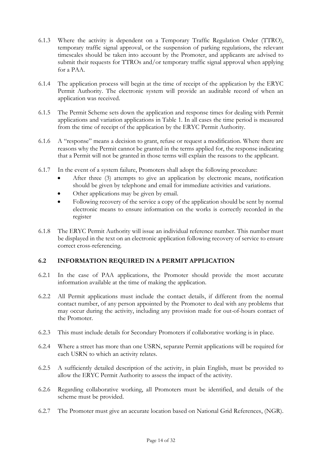- 6.1.3 Where the activity is dependent on a Temporary Traffic Regulation Order (TTRO), temporary traffic signal approval, or the suspension of parking regulations, the relevant timescales should be taken into account by the Promoter, and applicants are advised to submit their requests for TTROs and/or temporary traffic signal approval when applying for a PAA.
- 6.1.4 The application process will begin at the time of receipt of the application by the ERYC Permit Authority. The electronic system will provide an auditable record of when an application was received.
- 6.1.5 The Permit Scheme sets down the application and response times for dealing with Permit applications and variation applications in Table 1. In all cases the time period is measured from the time of receipt of the application by the ERYC Permit Authority.
- 6.1.6 A "response" means a decision to grant, refuse or request a modification. Where there are reasons why the Permit cannot be granted in the terms applied for, the response indicating that a Permit will not be granted in those terms will explain the reasons to the applicant.
- 6.1.7 In the event of a system failure, Promoters shall adopt the following procedure:
	- After three (3) attempts to give an application by electronic means, notification should be given by telephone and email for immediate activities and variations.
	- Other applications may be given by email.
	- Following recovery of the service a copy of the application should be sent by normal electronic means to ensure information on the works is correctly recorded in the register
- 6.1.8 The ERYC Permit Authority will issue an individual reference number. This number must be displayed in the text on an electronic application following recovery of service to ensure correct cross-referencing.

## 6.2 INFORMATION REQUIRED IN A PERMIT APPLICATION

- 6.2.1 In the case of PAA applications, the Promoter should provide the most accurate information available at the time of making the application.
- 6.2.2 All Permit applications must include the contact details, if different from the normal contact number, of any person appointed by the Promoter to deal with any problems that may occur during the activity, including any provision made for out-of-hours contact of the Promoter.
- 6.2.3 This must include details for Secondary Promoters if collaborative working is in place.
- 6.2.4 Where a street has more than one USRN, separate Permit applications will be required for each USRN to which an activity relates.
- 6.2.5 A sufficiently detailed description of the activity, in plain English, must be provided to allow the ERYC Permit Authority to assess the impact of the activity.
- 6.2.6 Regarding collaborative working, all Promoters must be identified, and details of the scheme must be provided.
- 6.2.7 The Promoter must give an accurate location based on National Grid References, (NGR).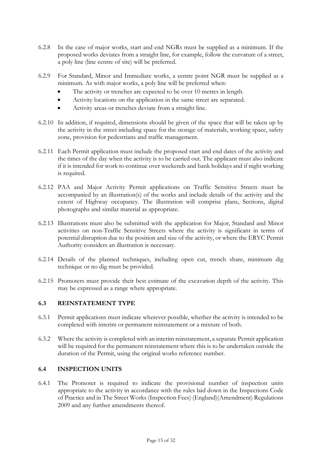- 6.2.8 In the case of major works, start and end NGRs must be supplied as a minimum. If the proposed works deviates from a straight line, for example, follow the curvature of a street, a poly line (line centre of site) will be preferred.
- 6.2.9 For Standard, Minor and Immediate works, a centre point NGR must be supplied as a minimum. As with major works, a poly line will be preferred when:
	- The activity or trenches are expected to be over 10 metres in length.
	- Activity locations on the application in the same street are separated.
	- Activity areas or trenches deviate from a straight line.
- 6.2.10 In addition, if required, dimensions should be given of the space that will be taken up by the activity in the street including space for the storage of materials, working space, safety zone, provision for pedestrians and traffic management.
- 6.2.11 Each Permit application must include the proposed start and end dates of the activity and the times of the day when the activity is to be carried out. The applicant must also indicate if it is intended for work to continue over weekends and bank holidays and if night working is required.
- 6.2.12 PAA and Major Activity Permit applications on Traffic Sensitive Streets must be accompanied by an illustration(s) of the works and include details of the activity and the extent of Highway occupancy. The illustration will comprise plans, Sections, digital photographs and similar material as appropriate.
- 6.2.13 Illustrations must also be submitted with the application for Major, Standard and Minor activities on non-Traffic Sensitive Streets where the activity is significant in terms of potential disruption due to the position and size of the activity, or where the ERYC Permit Authority considers an illustration is necessary.
- 6.2.14 Details of the planned techniques, including open cut, trench share, minimum dig technique or no dig must be provided.
- 6.2.15 Promoters must provide their best estimate of the excavation depth of the activity. This may be expressed as a range where appropriate.

#### 6.3 REINSTATEMENT TYPE

- 6.3.1 Permit applications must indicate wherever possible, whether the activity is intended to be completed with interim or permanent reinstatement or a mixture of both.
- 6.3.2 Where the activity is completed with an interim reinstatement, a separate Permit application will be required for the permanent reinstatement where this is to be undertaken outside the duration of the Permit, using the original works reference number.

#### 6.4 INSPECTION UNITS

6.4.1 The Promoter is required to indicate the provisional number of inspection units appropriate to the activity in accordance with the rules laid down in the Inspections Code of Practice and in The Street Works (Inspection Fees) (England)(Amendment) Regulations 2009 and any further amendments thereof.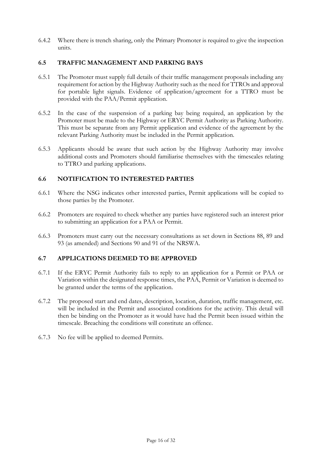6.4.2 Where there is trench sharing, only the Primary Promoter is required to give the inspection units.

## 6.5 TRAFFIC MANAGEMENT AND PARKING BAYS

- 6.5.1 The Promoter must supply full details of their traffic management proposals including any requirement for action by the Highway Authority such as the need for TTROs and approval for portable light signals. Evidence of application/agreement for a TTRO must be provided with the PAA/Permit application.
- 6.5.2 In the case of the suspension of a parking bay being required, an application by the Promoter must be made to the Highway or ERYC Permit Authority as Parking Authority. This must be separate from any Permit application and evidence of the agreement by the relevant Parking Authority must be included in the Permit application.
- 6.5.3 Applicants should be aware that such action by the Highway Authority may involve additional costs and Promoters should familiarise themselves with the timescales relating to TTRO and parking applications.

#### 6.6 NOTIFICATION TO INTERESTED PARTIES

- 6.6.1 Where the NSG indicates other interested parties, Permit applications will be copied to those parties by the Promoter.
- 6.6.2 Promoters are required to check whether any parties have registered such an interest prior to submitting an application for a PAA or Permit.
- 6.6.3 Promoters must carry out the necessary consultations as set down in Sections 88, 89 and 93 (as amended) and Sections 90 and 91 of the NRSWA.

#### 6.7 APPLICATIONS DEEMED TO BE APPROVED

- 6.7.1 If the ERYC Permit Authority fails to reply to an application for a Permit or PAA or Variation within the designated response times, the PAA, Permit or Variation is deemed to be granted under the terms of the application.
- 6.7.2 The proposed start and end dates, description, location, duration, traffic management, etc. will be included in the Permit and associated conditions for the activity. This detail will then be binding on the Promoter as it would have had the Permit been issued within the timescale. Breaching the conditions will constitute an offence.
- 6.7.3 No fee will be applied to deemed Permits.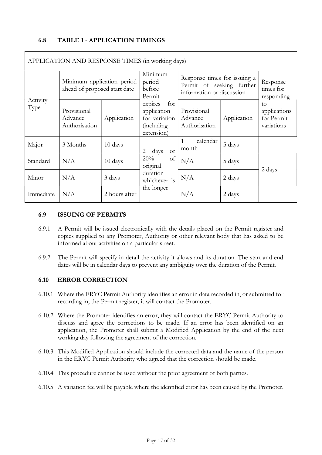## 6.8 TABLE 1 - APPLICATION TIMINGS

| APPLICATION AND RESPONSE TIMES (in working days) |                                                            |               |                                                                                    |                                                                                        |             |                                                |
|--------------------------------------------------|------------------------------------------------------------|---------------|------------------------------------------------------------------------------------|----------------------------------------------------------------------------------------|-------------|------------------------------------------------|
| Activity                                         | Minimum application period<br>ahead of proposed start date |               | Minimum<br>period<br>before<br>Permit                                              | Response times for issuing a<br>Permit of seeking further<br>information or discussion |             | Response<br>times for<br>responding            |
| Type                                             | Provisional<br>Advance<br>Authorisation                    | Application   | expires<br>for<br>application<br>for variation<br><i>(including)</i><br>extension) | Provisional<br>Advance<br>Authorisation                                                | Application | to<br>applications<br>for Permit<br>variations |
| Major                                            | 3 Months                                                   | 10 days       | 2<br>days<br><b>or</b>                                                             | calendar<br>1<br>month                                                                 | 5 days      |                                                |
| Standard                                         | N/A                                                        | 10 days       | 20%<br>of<br>original                                                              | N/A                                                                                    | 5 days      | 2 days                                         |
| Minor                                            | N/A                                                        | 3 days        | duration<br>whichever is                                                           | N/A                                                                                    | 2 days      |                                                |
| Immediate                                        | N/A                                                        | 2 hours after | the longer                                                                         | N/A                                                                                    | 2 days      |                                                |

APPLICATION AND RESPONSE TIMES (in working days)

#### 6.9 ISSUING OF PERMITS

- 6.9.1 A Permit will be issued electronically with the details placed on the Permit register and copies supplied to any Promoter, Authority or other relevant body that has asked to be informed about activities on a particular street.
- 6.9.2 The Permit will specify in detail the activity it allows and its duration. The start and end dates will be in calendar days to prevent any ambiguity over the duration of the Permit.

#### 6.10 ERROR CORRECTION

- 6.10.1 Where the ERYC Permit Authority identifies an error in data recorded in, or submitted for recording in, the Permit register, it will contact the Promoter.
- 6.10.2 Where the Promoter identifies an error, they will contact the ERYC Permit Authority to discuss and agree the corrections to be made. If an error has been identified on an application, the Promoter shall submit a Modified Application by the end of the next working day following the agreement of the correction.
- 6.10.3 This Modified Application should include the corrected data and the name of the person in the ERYC Permit Authority who agreed that the correction should be made.
- 6.10.4 This procedure cannot be used without the prior agreement of both parties.
- 6.10.5 A variation fee will be payable where the identified error has been caused by the Promoter.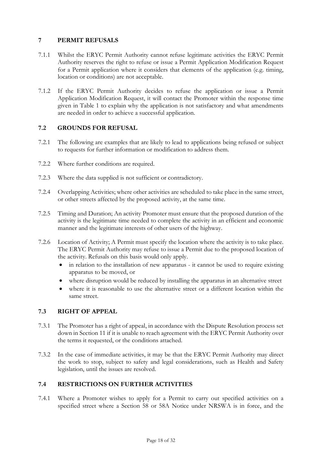## 7 PERMIT REFUSALS

- 7.1.1 Whilst the ERYC Permit Authority cannot refuse legitimate activities the ERYC Permit Authority reserves the right to refuse or issue a Permit Application Modification Request for a Permit application where it considers that elements of the application (e.g. timing, location or conditions) are not acceptable.
- 7.1.2 If the ERYC Permit Authority decides to refuse the application or issue a Permit Application Modification Request, it will contact the Promoter within the response time given in Table 1 to explain why the application is not satisfactory and what amendments are needed in order to achieve a successful application.

## 7.2 GROUNDS FOR REFUSAL

- 7.2.1 The following are examples that are likely to lead to applications being refused or subject to requests for further information or modification to address them.
- 7.2.2 Where further conditions are required.
- 7.2.3 Where the data supplied is not sufficient or contradictory.
- 7.2.4 Overlapping Activities; where other activities are scheduled to take place in the same street, or other streets affected by the proposed activity, at the same time.
- 7.2.5 Timing and Duration; An activity Promoter must ensure that the proposed duration of the activity is the legitimate time needed to complete the activity in an efficient and economic manner and the legitimate interests of other users of the highway.
- 7.2.6 Location of Activity; A Permit must specify the location where the activity is to take place. The ERYC Permit Authority may refuse to issue a Permit due to the proposed location of the activity. Refusals on this basis would only apply.
	- in relation to the installation of new apparatus it cannot be used to require existing apparatus to be moved, or
	- where disruption would be reduced by installing the apparatus in an alternative street
	- where it is reasonable to use the alternative street or a different location within the same street.

#### 7.3 RIGHT OF APPEAL

- 7.3.1 The Promoter has a right of appeal, in accordance with the Dispute Resolution process set down in Section 11 if it is unable to reach agreement with the ERYC Permit Authority over the terms it requested, or the conditions attached.
- 7.3.2 In the case of immediate activities, it may be that the ERYC Permit Authority may direct the work to stop, subject to safety and legal considerations, such as Health and Safety legislation, until the issues are resolved.

#### 7.4 RESTRICTIONS ON FURTHER ACTIVITIES

7.4.1 Where a Promoter wishes to apply for a Permit to carry out specified activities on a specified street where a Section 58 or 58A Notice under NRSWA is in force, and the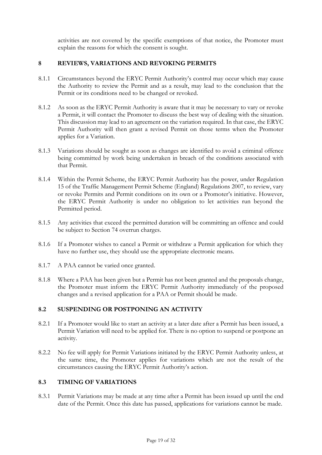activities are not covered by the specific exemptions of that notice, the Promoter must explain the reasons for which the consent is sought.

## 8 REVIEWS, VARIATIONS AND REVOKING PERMITS

- 8.1.1 Circumstances beyond the ERYC Permit Authority's control may occur which may cause the Authority to review the Permit and as a result, may lead to the conclusion that the Permit or its conditions need to be changed or revoked.
- 8.1.2 As soon as the ERYC Permit Authority is aware that it may be necessary to vary or revoke a Permit, it will contact the Promoter to discuss the best way of dealing with the situation. This discussion may lead to an agreement on the variation required. In that case, the ERYC Permit Authority will then grant a revised Permit on those terms when the Promoter applies for a Variation.
- 8.1.3 Variations should be sought as soon as changes are identified to avoid a criminal offence being committed by work being undertaken in breach of the conditions associated with that Permit.
- 8.1.4 Within the Permit Scheme, the ERYC Permit Authority has the power, under Regulation 15 of the Traffic Management Permit Scheme (England) Regulations 2007, to review, vary or revoke Permits and Permit conditions on its own or a Promoter's initiative. However, the ERYC Permit Authority is under no obligation to let activities run beyond the Permitted period.
- 8.1.5 Any activities that exceed the permitted duration will be committing an offence and could be subject to Section 74 overrun charges.
- 8.1.6 If a Promoter wishes to cancel a Permit or withdraw a Permit application for which they have no further use, they should use the appropriate electronic means.
- 8.1.7 A PAA cannot be varied once granted.
- 8.1.8 Where a PAA has been given but a Permit has not been granted and the proposals change, the Promoter must inform the ERYC Permit Authority immediately of the proposed changes and a revised application for a PAA or Permit should be made.

## 8.2 SUSPENDING OR POSTPONING AN ACTIVITY

- 8.2.1 If a Promoter would like to start an activity at a later date after a Permit has been issued, a Permit Variation will need to be applied for. There is no option to suspend or postpone an activity.
- 8.2.2 No fee will apply for Permit Variations initiated by the ERYC Permit Authority unless, at the same time, the Promoter applies for variations which are not the result of the circumstances causing the ERYC Permit Authority's action.

#### 8.3 TIMING OF VARIATIONS

8.3.1 Permit Variations may be made at any time after a Permit has been issued up until the end date of the Permit. Once this date has passed, applications for variations cannot be made.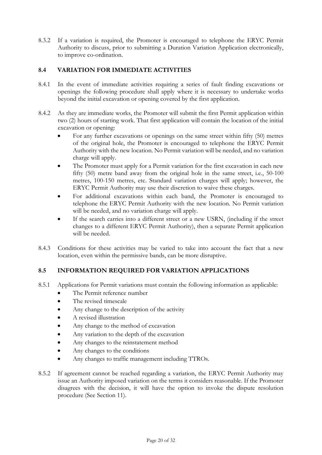8.3.2 If a variation is required, the Promoter is encouraged to telephone the ERYC Permit Authority to discuss, prior to submitting a Duration Variation Application electronically, to improve co-ordination.

## 8.4 VARIATION FOR IMMEDIATE ACTIVITIES

- 8.4.1 In the event of immediate activities requiring a series of fault finding excavations or openings the following procedure shall apply where it is necessary to undertake works beyond the initial excavation or opening covered by the first application.
- 8.4.2 As they are immediate works, the Promoter will submit the first Permit application within two (2) hours of starting work. That first application will contain the location of the initial excavation or opening:
	- For any further excavations or openings on the same street within fifty (50) metres of the original hole, the Promoter is encouraged to telephone the ERYC Permit Authority with the new location. No Permit variation will be needed, and no variation charge will apply.
	- The Promoter must apply for a Permit variation for the first excavation in each new fifty (50) metre band away from the original hole in the same street, i.e., 50-100 metres, 100-150 metres, etc. Standard variation charges will apply; however, the ERYC Permit Authority may use their discretion to waive these charges.
	- For additional excavations within each band, the Promoter is encouraged to telephone the ERYC Permit Authority with the new location. No Permit variation will be needed, and no variation charge will apply.
	- If the search carries into a different street or a new USRN, (including if the street changes to a different ERYC Permit Authority), then a separate Permit application will be needed.
- 8.4.3 Conditions for these activities may be varied to take into account the fact that a new location, even within the permissive bands, can be more disruptive.

## 8.5 INFORMATION REQUIRED FOR VARIATION APPLICATIONS

- 8.5.1 Applications for Permit variations must contain the following information as applicable:
	- The Permit reference number
	- The revised timescale
	- Any change to the description of the activity
	- A revised illustration
	- Any change to the method of excavation
	- Any variation to the depth of the excavation
	- Any changes to the reinstatement method
	- Any changes to the conditions
	- Any changes to traffic management including TTROs.
- 8.5.2 If agreement cannot be reached regarding a variation, the ERYC Permit Authority may issue an Authority imposed variation on the terms it considers reasonable. If the Promoter disagrees with the decision, it will have the option to invoke the dispute resolution procedure (See Section 11).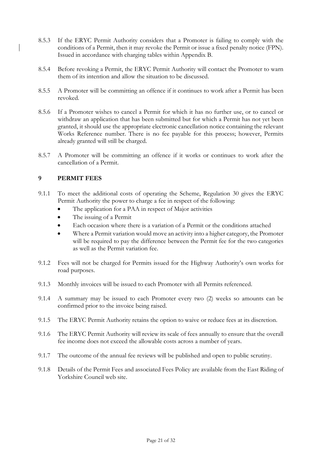- 8.5.3 If the ERYC Permit Authority considers that a Promoter is failing to comply with the conditions of a Permit, then it may revoke the Permit or issue a fixed penalty notice (FPN). Issued in accordance with charging tables within Appendix B.
- 8.5.4 Before revoking a Permit, the ERYC Permit Authority will contact the Promoter to warn them of its intention and allow the situation to be discussed.
- 8.5.5 A Promoter will be committing an offence if it continues to work after a Permit has been revoked.
- 8.5.6 If a Promoter wishes to cancel a Permit for which it has no further use, or to cancel or withdraw an application that has been submitted but for which a Permit has not yet been granted, it should use the appropriate electronic cancellation notice containing the relevant Works Reference number. There is no fee payable for this process; however, Permits already granted will still be charged.
- 8.5.7 A Promoter will be committing an offence if it works or continues to work after the cancellation of a Permit.

## 9 PERMIT FEES

- 9.1.1 To meet the additional costs of operating the Scheme, Regulation 30 gives the ERYC Permit Authority the power to charge a fee in respect of the following:
	- The application for a PAA in respect of Major activities
	- The issuing of a Permit
	- Each occasion where there is a variation of a Permit or the conditions attached
	- Where a Permit variation would move an activity into a higher category, the Promoter will be required to pay the difference between the Permit fee for the two categories as well as the Permit variation fee.
- 9.1.2 Fees will not be charged for Permits issued for the Highway Authority's own works for road purposes.
- 9.1.3 Monthly invoices will be issued to each Promoter with all Permits referenced.
- 9.1.4 A summary may be issued to each Promoter every two (2) weeks so amounts can be confirmed prior to the invoice being raised.
- 9.1.5 The ERYC Permit Authority retains the option to waive or reduce fees at its discretion.
- 9.1.6 The ERYC Permit Authority will review its scale of fees annually to ensure that the overall fee income does not exceed the allowable costs across a number of years.
- 9.1.7 The outcome of the annual fee reviews will be published and open to public scrutiny.
- 9.1.8 Details of the Permit Fees and associated Fees Policy are available from the East Riding of Yorkshire Council web site.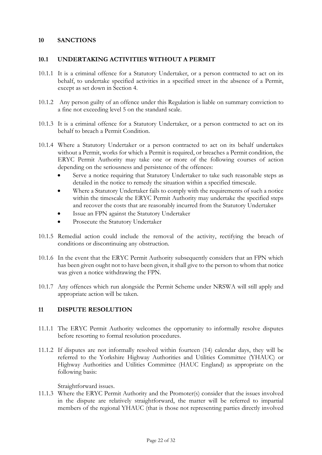#### 10 SANCTIONS

#### 10.1 UNDERTAKING ACTIVITIES WITHOUT A PERMIT

- 10.1.1 It is a criminal offence for a Statutory Undertaker, or a person contracted to act on its behalf, to undertake specified activities in a specified street in the absence of a Permit, except as set down in Section 4.
- 10.1.2 Any person guilty of an offence under this Regulation is liable on summary conviction to a fine not exceeding level 5 on the standard scale.
- 10.1.3 It is a criminal offence for a Statutory Undertaker, or a person contracted to act on its behalf to breach a Permit Condition.
- 10.1.4 Where a Statutory Undertaker or a person contracted to act on its behalf undertakes without a Permit, works for which a Permit is required, or breaches a Permit condition, the ERYC Permit Authority may take one or more of the following courses of action depending on the seriousness and persistence of the offences:
	- Serve a notice requiring that Statutory Undertaker to take such reasonable steps as detailed in the notice to remedy the situation within a specified timescale.
	- Where a Statutory Undertaker fails to comply with the requirements of such a notice within the timescale the ERYC Permit Authority may undertake the specified steps and recover the costs that are reasonably incurred from the Statutory Undertaker
	- Issue an FPN against the Statutory Undertaker
	- Prosecute the Statutory Undertaker
- 10.1.5 Remedial action could include the removal of the activity, rectifying the breach of conditions or discontinuing any obstruction.
- 10.1.6 In the event that the ERYC Permit Authority subsequently considers that an FPN which has been given ought not to have been given, it shall give to the person to whom that notice was given a notice withdrawing the FPN.
- 10.1.7 Any offences which run alongside the Permit Scheme under NRSWA will still apply and appropriate action will be taken.

#### 11 DISPUTE RESOLUTION

- 11.1.1 The ERYC Permit Authority welcomes the opportunity to informally resolve disputes before resorting to formal resolution procedures.
- 11.1.2 If disputes are not informally resolved within fourteen (14) calendar days, they will be referred to the Yorkshire Highway Authorities and Utilities Committee (YHAUC) or Highway Authorities and Utilities Committee (HAUC England) as appropriate on the following basis:

Straightforward issues.

11.1.3 Where the ERYC Permit Authority and the Promoter(s) consider that the issues involved in the dispute are relatively straightforward, the matter will be referred to impartial members of the regional YHAUC (that is those not representing parties directly involved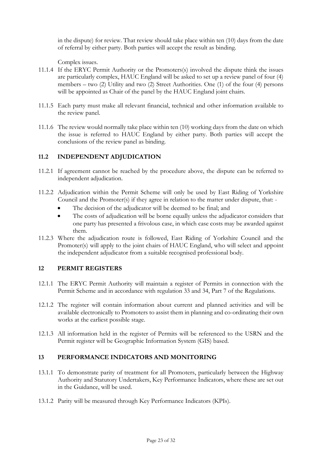in the dispute) for review. That review should take place within ten (10) days from the date of referral by either party. Both parties will accept the result as binding.

Complex issues.

- 11.1.4 If the ERYC Permit Authority or the Promoters(s) involved the dispute think the issues are particularly complex, HAUC England will be asked to set up a review panel of four (4) members – two (2) Utility and two (2) Street Authorities. One (1) of the four (4) persons will be appointed as Chair of the panel by the HAUC England joint chairs.
- 11.1.5 Each party must make all relevant financial, technical and other information available to the review panel.
- 11.1.6 The review would normally take place within ten (10) working days from the date on which the issue is referred to HAUC England by either party. Both parties will accept the conclusions of the review panel as binding.

## 11.2 INDEPENDENT ADJUDICATION

- 11.2.1 If agreement cannot be reached by the procedure above, the dispute can be referred to independent adjudication.
- 11.2.2 Adjudication within the Permit Scheme will only be used by East Riding of Yorkshire Council and the Promoter(s) if they agree in relation to the matter under dispute, that: -
	- The decision of the adjudicator will be deemed to be final; and
	- The costs of adjudication will be borne equally unless the adjudicator considers that one party has presented a frivolous case, in which case costs may be awarded against them.
- 11.2.3 Where the adjudication route is followed, East Riding of Yorkshire Council and the Promoter(s) will apply to the joint chairs of HAUC England, who will select and appoint the independent adjudicator from a suitable recognised professional body.

#### 12 PERMIT REGISTERS

- 12.1.1 The ERYC Permit Authority will maintain a register of Permits in connection with the Permit Scheme and in accordance with regulation 33 and 34, Part 7 of the Regulations.
- 12.1.2 The register will contain information about current and planned activities and will be available electronically to Promoters to assist them in planning and co-ordinating their own works at the earliest possible stage.
- 12.1.3 All information held in the register of Permits will be referenced to the USRN and the Permit register will be Geographic Information System (GIS) based.

## 13 PERFORMANCE INDICATORS AND MONITORING

- 13.1.1 To demonstrate parity of treatment for all Promoters, particularly between the Highway Authority and Statutory Undertakers, Key Performance Indicators, where these are set out in the Guidance, will be used.
- 13.1.2 Parity will be measured through Key Performance Indicators (KPIs).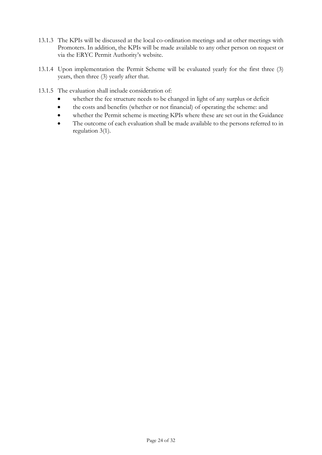- 13.1.3 The KPIs will be discussed at the local co-ordination meetings and at other meetings with Promoters. In addition, the KPIs will be made available to any other person on request or via the ERYC Permit Authority's website.
- 13.1.4 Upon implementation the Permit Scheme will be evaluated yearly for the first three (3) years, then three (3) yearly after that.
- 13.1.5 The evaluation shall include consideration of:
	- whether the fee structure needs to be changed in light of any surplus or deficit
	- the costs and benefits (whether or not financial) of operating the scheme: and
	- whether the Permit scheme is meeting KPIs where these are set out in the Guidance
	- The outcome of each evaluation shall be made available to the persons referred to in regulation 3(1).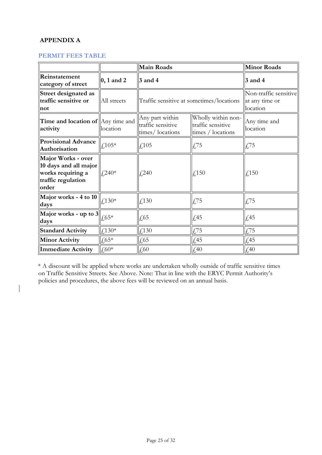# APPENDIX A

 $\overline{\phantom{a}}$ 

### PERMIT FEES TABLE

|                                                                                                 |                                   | Main Roads                                              |                                                              | Minor Roads                                         |
|-------------------------------------------------------------------------------------------------|-----------------------------------|---------------------------------------------------------|--------------------------------------------------------------|-----------------------------------------------------|
| Reinstatement<br>category of street                                                             | $\vert 0, 1 \text{ and } 2 \vert$ | $3$ and 4                                               |                                                              | $3$ and 4                                           |
| Street designated as<br>traffic sensitive or<br>not                                             | All streets                       | Traffic sensitive at sometimes/locations                |                                                              | Non-traffic sensitive<br>at any time or<br>location |
| <b>Time and location of</b> $\parallel$ Any time and<br>activity                                | location                          | Any part within<br>traffic sensitive<br>times/locations | Wholly within non-<br>traffic sensitive<br>times / locations | Any time and<br>location                            |
| <b>Provisional Advance</b><br>Authorisation                                                     | $f_{1}105*$                       | $\text{\textsterling}105$                               | £75                                                          | $\sqrt{5}$                                          |
| Major Works - over<br>10 days and all major<br>works requiring a<br>traffic regulation<br>order | $\frac{1}{2}$ ,240*               | £240                                                    | £,150                                                        | $\sqrt{150}$                                        |
| Major works - 4 to 10<br>days                                                                   | $f130*$                           | $\sqrt{4.30}$                                           | $\sqrt{5}$                                                   | £75                                                 |
| Major works - up to $3$<br>days                                                                 | $\frac{1}{2}65*$                  | $\sqrt{65}$                                             | $\sqrt{45}$                                                  | $\sqrt{45}$                                         |
| <b>Standard Activity</b>                                                                        | £130 $*$                          | $\textcolor{red}{\downarrow}$ 130                       | £75                                                          | $\sqrt{5}$                                          |
| <b>Minor Activity</b>                                                                           | $\text{\AA}65*$                   | $\sqrt{65}$                                             | $\sqrt{45}$                                                  | $\sqrt{\frac{45}{2}}$                               |
| Immediate Activity                                                                              | $\downarrow 60*$                  | $\textcolor{red}{\downarrow}60$                         | £40                                                          | $\downarrow 40$                                     |

\* A discount will be applied where works are undertaken wholly outside of traffic sensitive times on Traffic Sensitive Streets. See Above. Note: That in line with the ERYC Permit Authority's policies and procedures, the above fees will be reviewed on an annual basis.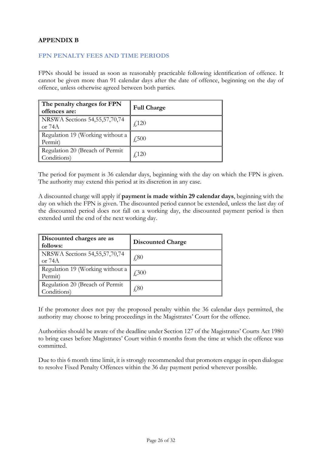## APPENDIX B

#### FPN PENALTY FEES AND TIME PERIODS

FPNs should be issued as soon as reasonably practicable following identification of offence. It cannot be given more than 91 calendar days after the date of offence, beginning on the day of offence, unless otherwise agreed between both parties.

| The penalty charges for FPN<br>offences are:   | <b>Full Charge</b> |
|------------------------------------------------|--------------------|
| NRSWA Sections 54,55,57,70,74<br>or 74A        | f(120)             |
| Regulation 19 (Working without a<br>Permit)    | £,500              |
| Regulation 20 (Breach of Permit<br>Conditions) | f120               |

The period for payment is 36 calendar days, beginning with the day on which the FPN is given. The authority may extend this period at its discretion in any case.

A discounted charge will apply if payment is made within 29 calendar days, beginning with the day on which the FPN is given. The discounted period cannot be extended, unless the last day of the discounted period does not fall on a working day, the discounted payment period is then extended until the end of the next working day.

| Discounted charges are as<br>follows:          | <b>Discounted Charge</b> |
|------------------------------------------------|--------------------------|
| NRSWA Sections 54,55,57,70,74<br>or $74A$      | $\pm 80$                 |
| Regulation 19 (Working without a<br>Permit)    | £,300                    |
| Regulation 20 (Breach of Permit<br>Conditions) | £80                      |

If the promoter does not pay the proposed penalty within the 36 calendar days permitted, the authority may choose to bring proceedings in the Magistrates' Court for the offence.

Authorities should be aware of the deadline under Section 127 of the Magistrates' Courts Act 1980 to bring cases before Magistrates' Court within 6 months from the time at which the offence was committed.

Due to this 6 month time limit, it is strongly recommended that promoters engage in open dialogue to resolve Fixed Penalty Offences within the 36 day payment period wherever possible.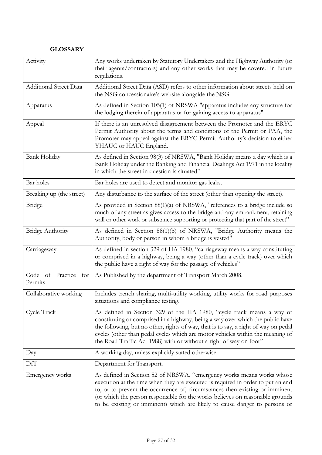# **GLOSSARY**

| Activity                           | Any works undertaken by Statutory Undertakers and the Highway Authority (or<br>their agents/contractors) and any other works that may be covered in future<br>regulations.                                                                                                                                                                                                                              |
|------------------------------------|---------------------------------------------------------------------------------------------------------------------------------------------------------------------------------------------------------------------------------------------------------------------------------------------------------------------------------------------------------------------------------------------------------|
| <b>Additional Street Data</b>      | Additional Street Data (ASD) refers to other information about streets held on<br>the NSG concessionaire's website alongside the NSG.                                                                                                                                                                                                                                                                   |
| Apparatus                          | As defined in Section 105(1) of NRSWA "apparatus includes any structure for<br>the lodging therein of apparatus or for gaining access to apparatus"                                                                                                                                                                                                                                                     |
| Appeal                             | If there is an unresolved disagreement between the Promoter and the ERYC<br>Permit Authority about the terms and conditions of the Permit or PAA, the<br>Promoter may appeal against the ERYC Permit Authority's decision to either<br>YHAUC or HAUC England.                                                                                                                                           |
| Bank Holiday                       | As defined in Section 98(3) of NRSWA, "Bank Holiday means a day which is a<br>Bank Holiday under the Banking and Financial Dealings Act 1971 in the locality<br>in which the street in question is situated"                                                                                                                                                                                            |
| Bar holes                          | Bar holes are used to detect and monitor gas leaks.                                                                                                                                                                                                                                                                                                                                                     |
| Breaking up (the street)           | Any disturbance to the surface of the street (other than opening the street).                                                                                                                                                                                                                                                                                                                           |
| Bridge                             | As provided in Section 88(1)(a) of NRSWA, "references to a bridge include so<br>much of any street as gives access to the bridge and any embankment, retaining<br>wall or other work or substance supporting or protecting that part of the street"                                                                                                                                                     |
| <b>Bridge Authority</b>            | As defined in Section 88(1)(b) of NRSWA, "Bridge Authority means the<br>Authority, body or person in whom a bridge is vested"                                                                                                                                                                                                                                                                           |
| Carriageway                        | As defined in section 329 of HA 1980, "carriageway means a way constituting<br>or comprised in a highway, being a way (other than a cycle track) over which<br>the public have a right of way for the passage of vehicles"                                                                                                                                                                              |
| Practice for<br>Code of<br>Permits | As Published by the department of Transport March 2008.                                                                                                                                                                                                                                                                                                                                                 |
| Collaborative working              | Includes trench sharing, multi-utility working, utility works for road purposes<br>situations and compliance testing.                                                                                                                                                                                                                                                                                   |
| Cycle Track                        | As defined in Section 329 of the HA 1980, "cycle track means a way of<br>constituting or comprised in a highway, being a way over which the public have<br>the following, but no other, rights of way, that is to say, a right of way on pedal<br>cycles (other than pedal cycles which are motor vehicles within the meaning of<br>the Road Traffic Act 1988) with or without a right of way on foot"  |
| Day                                | A working day, unless explicitly stated otherwise.                                                                                                                                                                                                                                                                                                                                                      |
| DfT                                | Department for Transport.                                                                                                                                                                                                                                                                                                                                                                               |
| Emergency works                    | As defined in Section 52 of NRSWA, "emergency works means works whose<br>execution at the time when they are executed is required in order to put an end<br>to, or to prevent the occurrence of, circumstances then existing or imminent<br>(or which the person responsible for the works believes on reasonable grounds<br>to be existing or imminent) which are likely to cause danger to persons or |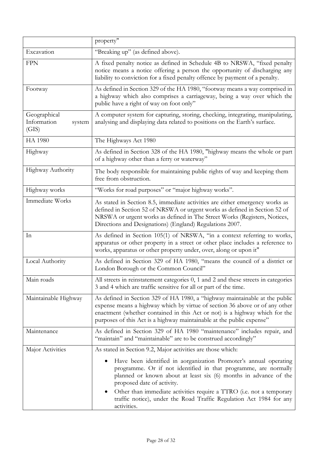|                                                | property"                                                                                                                                                                                                                                                                                                                                                                                                                                                                        |
|------------------------------------------------|----------------------------------------------------------------------------------------------------------------------------------------------------------------------------------------------------------------------------------------------------------------------------------------------------------------------------------------------------------------------------------------------------------------------------------------------------------------------------------|
| Excavation                                     | "Breaking up" (as defined above).                                                                                                                                                                                                                                                                                                                                                                                                                                                |
| <b>FPN</b>                                     | A fixed penalty notice as defined in Schedule 4B to NRSWA, "fixed penalty<br>notice means a notice offering a person the opportunity of discharging any<br>liability to conviction for a fixed penalty offence by payment of a penalty.                                                                                                                                                                                                                                          |
| Footway                                        | As defined in Section 329 of the HA 1980, "footway means a way comprised in<br>a highway which also comprises a carriageway, being a way over which the<br>public have a right of way on foot only"                                                                                                                                                                                                                                                                              |
| Geographical<br>Information<br>system<br>(GIS) | A computer system for capturing, storing, checking, integrating, manipulating,<br>analysing and displaying data related to positions on the Earth's surface.                                                                                                                                                                                                                                                                                                                     |
| <b>HA 1980</b>                                 | The Highways Act 1980                                                                                                                                                                                                                                                                                                                                                                                                                                                            |
| Highway                                        | As defined in Section 328 of the HA 1980, "highway means the whole or part<br>of a highway other than a ferry or waterway"                                                                                                                                                                                                                                                                                                                                                       |
| Highway Authority                              | The body responsible for maintaining public rights of way and keeping them<br>free from obstruction.                                                                                                                                                                                                                                                                                                                                                                             |
| Highway works                                  | "Works for road purposes" or "major highway works".                                                                                                                                                                                                                                                                                                                                                                                                                              |
| Immediate Works                                | As stated in Section 8.5, immediate activities are either emergency works as<br>defined in Section 52 of NRSWA or urgent works as defined in Section 52 of<br>NRSWA or urgent works as defined in The Street Works (Registers, Notices,<br>Directions and Designations) (England) Regulations 2007.                                                                                                                                                                              |
| In                                             | As defined in Section 105(1) of NRSWA, "in a context referring to works,<br>apparatus or other property in a street or other place includes a reference to<br>works, apparatus or other property under, over, along or upon it"                                                                                                                                                                                                                                                  |
| Local Authority                                | As defined in Section 329 of HA 1980, "means the council of a district or<br>London Borough or the Common Council"                                                                                                                                                                                                                                                                                                                                                               |
| Main roads                                     | All streets in reinstatement categories 0, 1 and 2 and these streets in categories<br>3 and 4 which are traffic sensitive for all or part of the time.                                                                                                                                                                                                                                                                                                                           |
| Maintainable Highway                           | As defined in Section 329 of HA 1980, a "highway maintainable at the public<br>expense means a highway which by virtue of section 36 above or of any other<br>enactment (whether contained in this Act or not) is a highway which for the<br>purposes of this Act is a highway maintainable at the public expense"                                                                                                                                                               |
| Maintenance                                    | As defined in Section 329 of HA 1980 "maintenance" includes repair, and<br>"maintain" and "maintainable" are to be construed accordingly"                                                                                                                                                                                                                                                                                                                                        |
| Major Activities                               | As stated in Section 9.2, Major activities are those which:<br>Have been identified in aorganization Promoter's annual operating<br>programme. Or if not identified in that programme, are normally<br>planned or known about at least six (6) months in advance of the<br>proposed date of activity.<br>Other than immediate activities require a TTRO (i.e. not a temporary<br>$\bullet$<br>traffic notice), under the Road Traffic Regulation Act 1984 for any<br>activities. |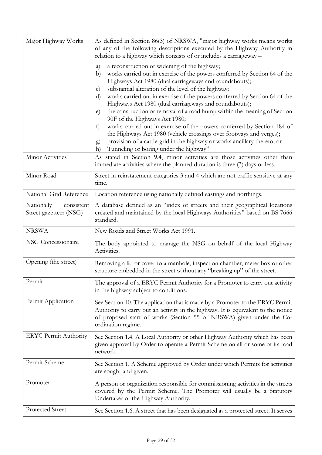| Major Highway Works                                | As defined in Section 86(3) of NRSWA, "major highway works means works<br>of any of the following descriptions executed by the Highway Authority in<br>relation to a highway which consists of or includes a carriageway -                                                                                                                                                                                                                                                                                                                                                                                                                                                                                                                                                                                                                        |
|----------------------------------------------------|---------------------------------------------------------------------------------------------------------------------------------------------------------------------------------------------------------------------------------------------------------------------------------------------------------------------------------------------------------------------------------------------------------------------------------------------------------------------------------------------------------------------------------------------------------------------------------------------------------------------------------------------------------------------------------------------------------------------------------------------------------------------------------------------------------------------------------------------------|
|                                                    | a reconstruction or widening of the highway;<br>a)<br>works carried out in exercise of the powers conferred by Section 64 of the<br>b)<br>Highways Act 1980 (dual carriageways and roundabouts);<br>substantial alteration of the level of the highway;<br>$\mathbf{c})$<br>works carried out in exercise of the powers conferred by Section 64 of the<br>d)<br>Highways Act 1980 (dual carriageways and roundabouts);<br>the construction or removal of a road hump within the meaning of Section<br>e)<br>90F of the Highways Act 1980;<br>works carried out in exercise of the powers conferred by Section 184 of<br>f)<br>the Highways Act 1980 (vehicle crossings over footways and verges);<br>provision of a cattle-grid in the highway or works ancillary thereto; or<br>$\left(g\right)$<br>Tunneling or boring under the highway"<br>h) |
| Minor Activities                                   | As stated in Section 9.4, minor activities are those activities other than<br>immediate activities where the planned duration is three (3) days or less.                                                                                                                                                                                                                                                                                                                                                                                                                                                                                                                                                                                                                                                                                          |
| Minor Road                                         | Street in reinstatement categories 3 and 4 which are not traffic sensitive at any<br>time.                                                                                                                                                                                                                                                                                                                                                                                                                                                                                                                                                                                                                                                                                                                                                        |
| National Grid Reference                            | Location reference using nationally defined eastings and northings.                                                                                                                                                                                                                                                                                                                                                                                                                                                                                                                                                                                                                                                                                                                                                                               |
| Nationally<br>consistent<br>Street gazetteer (NSG) | A database defined as an "index of streets and their geographical locations<br>created and maintained by the local Highways Authorities" based on BS 7666<br>standard.                                                                                                                                                                                                                                                                                                                                                                                                                                                                                                                                                                                                                                                                            |
|                                                    |                                                                                                                                                                                                                                                                                                                                                                                                                                                                                                                                                                                                                                                                                                                                                                                                                                                   |
| <b>NRSWA</b>                                       | New Roads and Street Works Act 1991.                                                                                                                                                                                                                                                                                                                                                                                                                                                                                                                                                                                                                                                                                                                                                                                                              |
| NSG Concessionaire                                 | The body appointed to manage the NSG on behalf of the local Highway<br>Activities.                                                                                                                                                                                                                                                                                                                                                                                                                                                                                                                                                                                                                                                                                                                                                                |
| Opening (the street)                               | Removing a lid or cover to a manhole, inspection chamber, meter box or other<br>structure embedded in the street without any "breaking up" of the street.                                                                                                                                                                                                                                                                                                                                                                                                                                                                                                                                                                                                                                                                                         |
| Permit                                             | The approval of a ERYC Permit Authority for a Promoter to carry out activity<br>in the highway subject to conditions.                                                                                                                                                                                                                                                                                                                                                                                                                                                                                                                                                                                                                                                                                                                             |
| Permit Application                                 | See Section 10. The application that is made by a Promoter to the ERYC Permit<br>Authority to carry out an activity in the highway. It is equivalent to the notice<br>of proposed start of works (Section 55 of NRSWA) given under the Co-<br>ordination regime.                                                                                                                                                                                                                                                                                                                                                                                                                                                                                                                                                                                  |
| <b>ERYC Permit Authority</b>                       | See Section 1.4. A Local Authority or other Highway Authority which has been<br>given approval by Order to operate a Permit Scheme on all or some of its road<br>network.                                                                                                                                                                                                                                                                                                                                                                                                                                                                                                                                                                                                                                                                         |
| Permit Scheme                                      | See Section 1. A Scheme approved by Order under which Permits for activities<br>are sought and given.                                                                                                                                                                                                                                                                                                                                                                                                                                                                                                                                                                                                                                                                                                                                             |
| Promoter                                           | A person or organization responsible for commissioning activities in the streets<br>covered by the Permit Scheme. The Promoter will usually be a Statutory<br>Undertaker or the Highway Authority.                                                                                                                                                                                                                                                                                                                                                                                                                                                                                                                                                                                                                                                |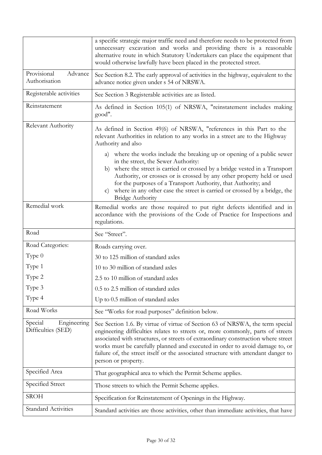|                                              | a specific strategic major traffic need and therefore needs to be protected from<br>unnecessary excavation and works and providing there is a reasonable<br>alternative route in which Statutory Undertakers can place the equipment that<br>would otherwise lawfully have been placed in the protected street.                                                                                                                                    |
|----------------------------------------------|----------------------------------------------------------------------------------------------------------------------------------------------------------------------------------------------------------------------------------------------------------------------------------------------------------------------------------------------------------------------------------------------------------------------------------------------------|
| Provisional<br>Advance<br>Authorisation      | See Section 8.2. The early approval of activities in the highway, equivalent to the<br>advance notice given under s 54 of NRSWA.                                                                                                                                                                                                                                                                                                                   |
| Registerable activities                      | See Section 3 Registerable activities are as listed.                                                                                                                                                                                                                                                                                                                                                                                               |
| Reinstatement                                | As defined in Section 105(1) of NRSWA, "reinstatement includes making<br>good".                                                                                                                                                                                                                                                                                                                                                                    |
| Relevant Authority                           | As defined in Section 49(6) of NRSWA, "references in this Part to the<br>relevant Authorities in relation to any works in a street are to the Highway<br>Authority and also                                                                                                                                                                                                                                                                        |
|                                              | a) where the works include the breaking up or opening of a public sewer<br>in the street, the Sewer Authority:                                                                                                                                                                                                                                                                                                                                     |
|                                              | where the street is carried or crossed by a bridge vested in a Transport<br>b)<br>Authority, or crosses or is crossed by any other property held or used<br>for the purposes of a Transport Authority, that Authority; and<br>where in any other case the street is carried or crossed by a bridge, the<br>$\mathbf{C}$<br><b>Bridge Authority</b>                                                                                                 |
| Remedial work                                | Remedial works are those required to put right defects identified and in<br>accordance with the provisions of the Code of Practice for Inspections and<br>regulations.                                                                                                                                                                                                                                                                             |
| Road                                         | See "Street".                                                                                                                                                                                                                                                                                                                                                                                                                                      |
| Road Categories:                             | Roads carrying over.                                                                                                                                                                                                                                                                                                                                                                                                                               |
| Type $0$                                     | 30 to 125 million of standard axles                                                                                                                                                                                                                                                                                                                                                                                                                |
| Type 1                                       | 10 to 30 million of standard axles                                                                                                                                                                                                                                                                                                                                                                                                                 |
| Type 2                                       | 2.5 to 10 million of standard axles                                                                                                                                                                                                                                                                                                                                                                                                                |
| Type 3                                       | 0.5 to 2.5 million of standard axles                                                                                                                                                                                                                                                                                                                                                                                                               |
| Type 4                                       | Up to 0.5 million of standard axles                                                                                                                                                                                                                                                                                                                                                                                                                |
| Road Works                                   | See "Works for road purposes" definition below.                                                                                                                                                                                                                                                                                                                                                                                                    |
| Special<br>Engineering<br>Difficulties (SED) | See Section 1.6. By virtue of virtue of Section 63 of NRSWA, the term special<br>engineering difficulties relates to streets or, more commonly, parts of streets<br>associated with structures, or streets of extraordinary construction where street<br>works must be carefully planned and executed in order to avoid damage to, or<br>failure of, the street itself or the associated structure with attendant danger to<br>person or property. |
| Specified Area                               | That geographical area to which the Permit Scheme applies.                                                                                                                                                                                                                                                                                                                                                                                         |
| Specified Street                             | Those streets to which the Permit Scheme applies.                                                                                                                                                                                                                                                                                                                                                                                                  |
| <b>SROH</b>                                  | Specification for Reinstatement of Openings in the Highway.                                                                                                                                                                                                                                                                                                                                                                                        |
| <b>Standard Activities</b>                   | Standard activities are those activities, other than immediate activities, that have                                                                                                                                                                                                                                                                                                                                                               |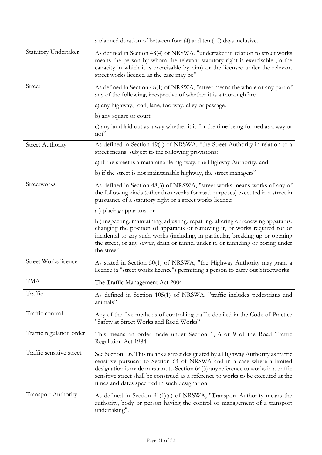|                             | a planned duration of between four (4) and ten (10) days inclusive.                                                                                                                                                                                                                                                                                                                      |
|-----------------------------|------------------------------------------------------------------------------------------------------------------------------------------------------------------------------------------------------------------------------------------------------------------------------------------------------------------------------------------------------------------------------------------|
| <b>Statutory Undertaker</b> | As defined in Section 48(4) of NRSWA, "undertaker in relation to street works<br>means the person by whom the relevant statutory right is exercisable (in the<br>capacity in which it is exercisable by him) or the licensee under the relevant<br>street works licence, as the case may be"                                                                                             |
| Street                      | As defined in Section 48(1) of NRSWA, "street means the whole or any part of<br>any of the following, irrespective of whether it is a thoroughfare                                                                                                                                                                                                                                       |
|                             | a) any highway, road, lane, footway, alley or passage.                                                                                                                                                                                                                                                                                                                                   |
|                             | b) any square or court.                                                                                                                                                                                                                                                                                                                                                                  |
|                             | c) any land laid out as a way whether it is for the time being formed as a way or<br>not"                                                                                                                                                                                                                                                                                                |
| <b>Street Authority</b>     | As defined in Section 49(1) of NRSWA, "the Street Authority in relation to a<br>street means, subject to the following provisions:                                                                                                                                                                                                                                                       |
|                             | a) if the street is a maintainable highway, the Highway Authority, and                                                                                                                                                                                                                                                                                                                   |
|                             | b) if the street is not maintainable highway, the street managers"                                                                                                                                                                                                                                                                                                                       |
| Streetworks                 | As defined in Section 48(3) of NRSWA, "street works means works of any of<br>the following kinds (other than works for road purposes) executed in a street in<br>pursuance of a statutory right or a street works licence:                                                                                                                                                               |
|                             | a) placing apparatus; or                                                                                                                                                                                                                                                                                                                                                                 |
|                             | b) inspecting, maintaining, adjusting, repairing, altering or renewing apparatus,<br>changing the position of apparatus or removing it, or works required for or<br>incidental to any such works (including, in particular, breaking up or opening<br>the street, or any sewer, drain or tunnel under it, or tunneling or boring under<br>the street"                                    |
| <b>Street Works licence</b> | As stated in Section 50(1) of NRSWA, "the Highway Authority may grant a<br>licence (a "street works licence") permitting a person to carry out Streetworks.                                                                                                                                                                                                                              |
| <b>TMA</b>                  | The Traffic Management Act 2004.                                                                                                                                                                                                                                                                                                                                                         |
| Traffic                     | As defined in Section 105(1) of NRSWA, "traffic includes pedestrians and<br>animals"                                                                                                                                                                                                                                                                                                     |
| Traffic control             | Any of the five methods of controlling traffic detailed in the Code of Practice<br>"Safety at Street Works and Road Works"                                                                                                                                                                                                                                                               |
| Traffic regulation order    | This means an order made under Section 1, 6 or 9 of the Road Traffic<br>Regulation Act 1984.                                                                                                                                                                                                                                                                                             |
| Traffic sensitive street    | See Section 1.6. This means a street designated by a Highway Authority as traffic<br>sensitive pursuant to Section 64 of NRSWA and in a case where a limited<br>designation is made pursuant to Section 64(3) any reference to works in a traffic<br>sensitive street shall be construed as a reference to works to be executed at the<br>times and dates specified in such designation. |
| <b>Transport Authority</b>  | As defined in Section 91(1)(a) of NRSWA, "Transport Authority means the<br>authority, body or person having the control or management of a transport<br>undertaking".                                                                                                                                                                                                                    |